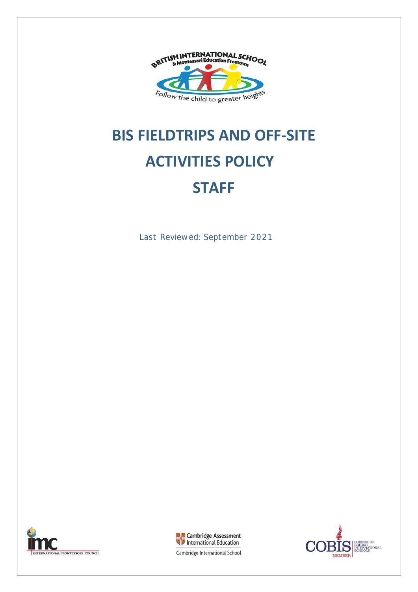

# **BIS FIELDTRIPS AND OFF-SITE ACTIVITIES POLICY STAFF**

Last Reviewed: September 2021







Cambridge International School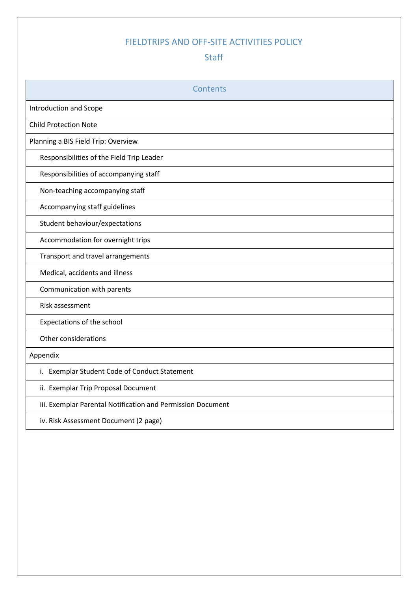# FIELDTRIPS AND OFF-SITE ACTIVITIES POLICY

# **Staff**

| Contents                                                    |
|-------------------------------------------------------------|
| <b>Introduction and Scope</b>                               |
| <b>Child Protection Note</b>                                |
| Planning a BIS Field Trip: Overview                         |
| Responsibilities of the Field Trip Leader                   |
| Responsibilities of accompanying staff                      |
| Non-teaching accompanying staff                             |
| Accompanying staff guidelines                               |
| Student behaviour/expectations                              |
| Accommodation for overnight trips                           |
| Transport and travel arrangements                           |
| Medical, accidents and illness                              |
| Communication with parents                                  |
| Risk assessment                                             |
| Expectations of the school                                  |
| Other considerations                                        |
| Appendix                                                    |
| i. Exemplar Student Code of Conduct Statement               |
| ii. Exemplar Trip Proposal Document                         |
| iii. Exemplar Parental Notification and Permission Document |
| iv. Risk Assessment Document (2 page)                       |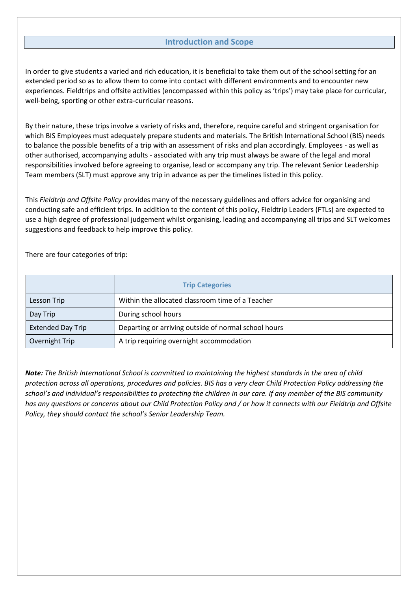#### **Introduction and Scope**

In order to give students a varied and rich education, it is beneficial to take them out of the school setting for an extended period so as to allow them to come into contact with different environments and to encounter new experiences. Fieldtrips and offsite activities (encompassed within this policy as 'trips') may take place for curricular, well-being, sporting or other extra-curricular reasons.

By their nature, these trips involve a variety of risks and, therefore, require careful and stringent organisation for which BIS Employees must adequately prepare students and materials. The British International School (BIS) needs to balance the possible benefits of a trip with an assessment of risks and plan accordingly. Employees - as well as other authorised, accompanying adults - associated with any trip must always be aware of the legal and moral responsibilities involved before agreeing to organise, lead or accompany any trip. The relevant Senior Leadership Team members (SLT) must approve any trip in advance as per the timelines listed in this policy.

This *Fieldtrip and Offsite Policy* provides many of the necessary guidelines and offers advice for organising and conducting safe and efficient trips. In addition to the content of this policy, Fieldtrip Leaders (FTLs) are expected to use a high degree of professional judgement whilst organising, leading and accompanying all trips and SLT welcomes suggestions and feedback to help improve this policy.

There are four categories of trip:

|                          | <b>Trip Categories</b>                               |
|--------------------------|------------------------------------------------------|
| Lesson Trip              | Within the allocated classroom time of a Teacher     |
| Day Trip                 | During school hours                                  |
| <b>Extended Day Trip</b> | Departing or arriving outside of normal school hours |
| Overnight Trip           | A trip requiring overnight accommodation             |

*Note: The British International School is committed to maintaining the highest standards in the area of child protection across all operations, procedures and policies. BIS has a very clear Child Protection Policy addressing the school's and individual's responsibilities to protecting the children in our care. If any member of the BIS community has any questions or concerns about our Child Protection Policy and / or how it connects with our Fieldtrip and Offsite Policy, they should contact the school's Senior Leadership Team.*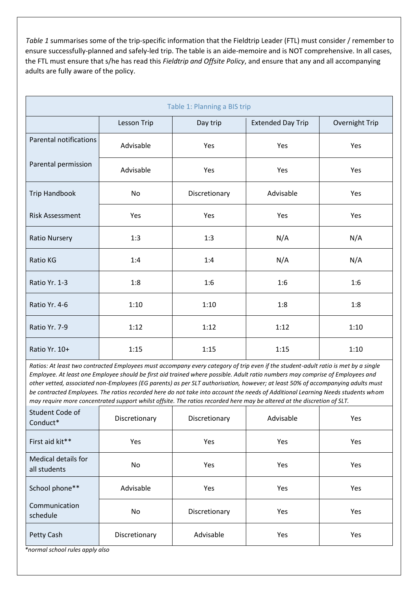*Table 1* summarises some of the trip-specific information that the Fieldtrip Leader (FTL) must consider / remember to ensure successfully-planned and safely-led trip. The table is an aide-memoire and is NOT comprehensive. In all cases, the FTL must ensure that s/he has read this *Fieldtrip and Offsite Policy*, and ensure that any and all accompanying adults are fully aware of the policy.

| Table 1: Planning a BIS trip |             |               |                                            |      |  |  |
|------------------------------|-------------|---------------|--------------------------------------------|------|--|--|
|                              | Lesson Trip | Day trip      | Overnight Trip<br><b>Extended Day Trip</b> |      |  |  |
| Parental notifications       | Advisable   | Yes           | Yes                                        | Yes  |  |  |
| Parental permission          | Advisable   | Yes           | Yes                                        | Yes  |  |  |
| <b>Trip Handbook</b>         | <b>No</b>   | Discretionary | Advisable                                  | Yes  |  |  |
| <b>Risk Assessment</b>       | Yes         | Yes           | Yes                                        | Yes  |  |  |
| <b>Ratio Nursery</b>         | 1:3         | 1:3           | N/A                                        | N/A  |  |  |
| Ratio KG                     | 1:4         | 1:4           | N/A                                        | N/A  |  |  |
| Ratio Yr. 1-3                | 1:8         | 1:6           | 1:6                                        | 1:6  |  |  |
| Ratio Yr. 4-6                | 1:10        | 1:10          | 1:8                                        | 1:8  |  |  |
| Ratio Yr. 7-9                | 1:12        | 1:12          | 1:12                                       | 1:10 |  |  |
| Ratio Yr. 10+                | 1:15        | 1:15          | 1:15                                       | 1:10 |  |  |

*Ratios: At least two contracted Employees must accompany every category of trip even if the student-adult ratio is met by a single Employee. At least one Employee should be first aid trained where possible. Adult ratio numbers may comprise of Employees and other vetted, associated non-Employees (EG parents) as per SLT authorisation, however; at least 50% of accompanying adults must be contracted Employees. The ratios recorded here do not take into account the needs of Additional Learning Needs students whom may require more concentrated support whilst offsite. The ratios recorded here may be altered at the discretion of SLT.* 

| Student Code of<br>Conduct*                | Discretionary | Discretionary | Advisable  | Yes        |
|--------------------------------------------|---------------|---------------|------------|------------|
| First aid kit**                            | Yes           | Yes           | Yes        | Yes        |
| <b>Medical details for</b><br>all students | No.           | Yes           | Yes        | Yes        |
| School phone**                             | Advisable     | <b>Yes</b>    | <b>Yes</b> | <b>Yes</b> |
| Communication<br>schedule                  | No.           | Discretionary | Yes        | Yes        |
| Petty Cash                                 | Discretionary | Advisable     | Yes        | Yes        |

*\*normal school rules apply also*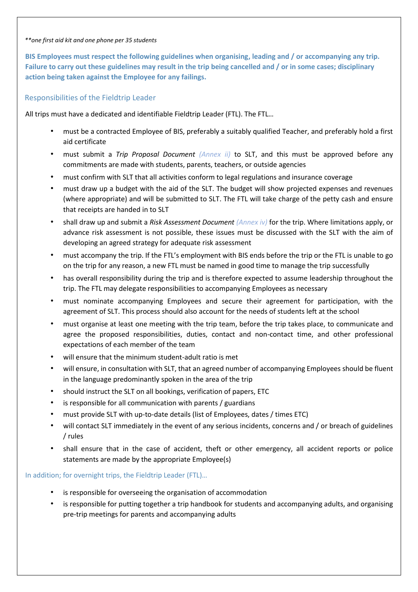#### *\*\*one first aid kit and one phone per 35 students*

**BIS Employees must respect the following guidelines when organising, leading and / or accompanying any trip. Failure to carry out these guidelines may result in the trip being cancelled and / or in some cases; disciplinary action being taken against the Employee for any failings.** 

#### Responsibilities of the Fieldtrip Leader

All trips must have a dedicated and identifiable Fieldtrip Leader (FTL). The FTL…

- must be a contracted Employee of BIS, preferably a suitably qualified Teacher, and preferably hold a first aid certificate
- must submit a *Trip Proposal Document (Annex ii)* to SLT, and this must be approved before any commitments are made with students, parents, teachers, or outside agencies
- must confirm with SLT that all activities conform to legal regulations and insurance coverage
- must draw up a budget with the aid of the SLT. The budget will show projected expenses and revenues (where appropriate) and will be submitted to SLT. The FTL will take charge of the petty cash and ensure that receipts are handed in to SLT
- shall draw up and submit a *Risk Assessment Document (Annex iv)* for the trip. Where limitations apply, or advance risk assessment is not possible, these issues must be discussed with the SLT with the aim of developing an agreed strategy for adequate risk assessment
- must accompany the trip. If the FTL's employment with BIS ends before the trip or the FTL is unable to go on the trip for any reason, a new FTL must be named in good time to manage the trip successfully
- has overall responsibility during the trip and is therefore expected to assume leadership throughout the trip. The FTL may delegate responsibilities to accompanying Employees as necessary
- must nominate accompanying Employees and secure their agreement for participation, with the agreement of SLT. This process should also account for the needs of students left at the school
- must organise at least one meeting with the trip team, before the trip takes place, to communicate and agree the proposed responsibilities, duties, contact and non-contact time, and other professional expectations of each member of the team
- will ensure that the minimum student-adult ratio is met
- will ensure, in consultation with SLT, that an agreed number of accompanying Employees should be fluent in the language predominantly spoken in the area of the trip
- should instruct the SLT on all bookings, verification of papers, ETC
- is responsible for all communication with parents / guardians
- must provide SLT with up-to-date details (list of Employees, dates / times ETC)
- will contact SLT immediately in the event of any serious incidents, concerns and / or breach of guidelines / rules
- shall ensure that in the case of accident, theft or other emergency, all accident reports or police statements are made by the appropriate Employee(s)

In addition; for overnight trips, the Fieldtrip Leader (FTL)…

- is responsible for overseeing the organisation of accommodation
- is responsible for putting together a trip handbook for students and accompanying adults, and organising pre-trip meetings for parents and accompanying adults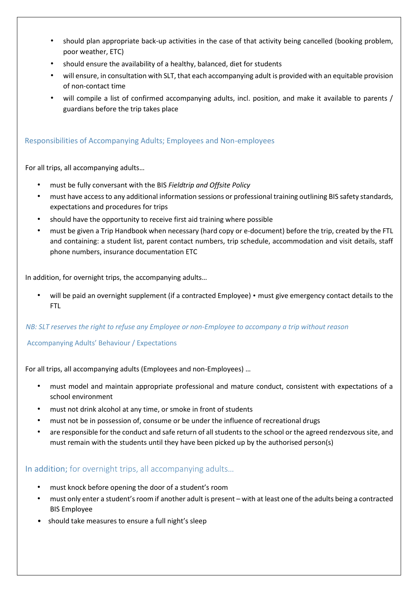- should plan appropriate back-up activities in the case of that activity being cancelled (booking problem, poor weather, ETC)
- should ensure the availability of a healthy, balanced, diet for students
- will ensure, in consultation with SLT, that each accompanying adult is provided with an equitable provision of non-contact time
- will compile a list of confirmed accompanying adults, incl. position, and make it available to parents / guardians before the trip takes place

#### Responsibilities of Accompanying Adults; Employees and Non-employees

For all trips, all accompanying adults…

- must be fully conversant with the BIS *Fieldtrip and Offsite Policy*
- must have access to any additional information sessions or professional training outlining BIS safety standards, expectations and procedures for trips
- should have the opportunity to receive first aid training where possible
- must be given a Trip Handbook when necessary (hard copy or e-document) before the trip, created by the FTL and containing: a student list, parent contact numbers, trip schedule, accommodation and visit details, staff phone numbers, insurance documentation ETC

In addition, for overnight trips, the accompanying adults…

• will be paid an overnight supplement (if a contracted Employee) • must give emergency contact details to the FTL

#### *NB: SLT reserves the right to refuse any Employee or non-Employee to accompany a trip without reason*

#### Accompanying Adults' Behaviour / Expectations

For all trips, all accompanying adults (Employees and non-Employees) …

- must model and maintain appropriate professional and mature conduct, consistent with expectations of a school environment
- must not drink alcohol at any time, or smoke in front of students
- must not be in possession of, consume or be under the influence of recreational drugs
- are responsible for the conduct and safe return of all students to the school or the agreed rendezvous site, and must remain with the students until they have been picked up by the authorised person(s)

#### In addition; for overnight trips, all accompanying adults…

- must knock before opening the door of a student's room
- must only enter a student's room if another adult is present with at least one of the adults being a contracted BIS Employee
- should take measures to ensure a full night's sleep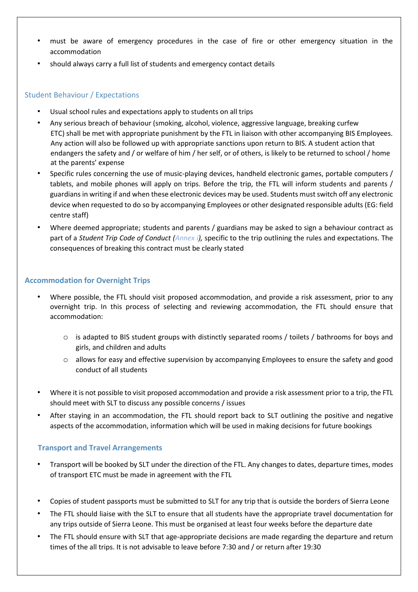- must be aware of emergency procedures in the case of fire or other emergency situation in the accommodation
- should always carry a full list of students and emergency contact details

#### Student Behaviour / Expectations

- Usual school rules and expectations apply to students on all trips
- Any serious breach of behaviour (smoking, alcohol, violence, aggressive language, breaking curfew ETC) shall be met with appropriate punishment by the FTL in liaison with other accompanying BIS Employees. Any action will also be followed up with appropriate sanctions upon return to BIS. A student action that endangers the safety and / or welfare of him / her self, or of others, is likely to be returned to school / home at the parents' expense
- Specific rules concerning the use of music-playing devices, handheld electronic games, portable computers / tablets, and mobile phones will apply on trips. Before the trip, the FTL will inform students and parents / guardians in writing if and when these electronic devices may be used. Students must switch off any electronic device when requested to do so by accompanying Employees or other designated responsible adults (EG: field centre staff)
- Where deemed appropriate; students and parents / guardians may be asked to sign a behaviour contract as part of a *Student Trip Code of Conduct (Annex i),* specific to the trip outlining the rules and expectations. The consequences of breaking this contract must be clearly stated

#### **Accommodation for Overnight Trips**

- Where possible, the FTL should visit proposed accommodation, and provide a risk assessment, prior to any overnight trip. In this process of selecting and reviewing accommodation, the FTL should ensure that accommodation:
	- o is adapted to BIS student groups with distinctly separated rooms / toilets / bathrooms for boys and girls, and children and adults
	- o allows for easy and effective supervision by accompanying Employees to ensure the safety and good conduct of all students
- Where it is not possible to visit proposed accommodation and provide a risk assessment prior to a trip, the FTL should meet with SLT to discuss any possible concerns / issues
- After staying in an accommodation, the FTL should report back to SLT outlining the positive and negative aspects of the accommodation, information which will be used in making decisions for future bookings

#### **Transport and Travel Arrangements**

- Transport will be booked by SLT under the direction of the FTL. Any changes to dates, departure times, modes of transport ETC must be made in agreement with the FTL
- Copies of student passports must be submitted to SLT for any trip that is outside the borders of Sierra Leone
- The FTL should liaise with the SLT to ensure that all students have the appropriate travel documentation for any trips outside of Sierra Leone. This must be organised at least four weeks before the departure date
- The FTL should ensure with SLT that age-appropriate decisions are made regarding the departure and return times of the all trips. It is not advisable to leave before 7:30 and / or return after 19:30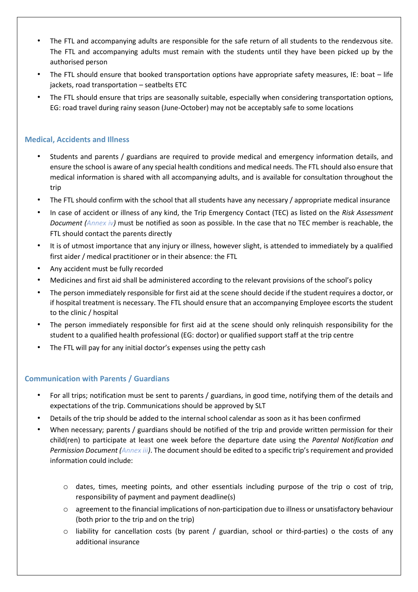- The FTL and accompanying adults are responsible for the safe return of all students to the rendezvous site. The FTL and accompanying adults must remain with the students until they have been picked up by the authorised person
- The FTL should ensure that booked transportation options have appropriate safety measures, IE: boat life jackets, road transportation – seatbelts ETC
- The FTL should ensure that trips are seasonally suitable, especially when considering transportation options, EG: road travel during rainy season (June-October) may not be acceptably safe to some locations

#### **Medical, Accidents and Illness**

- Students and parents / guardians are required to provide medical and emergency information details, and ensure the school is aware of any special health conditions and medical needs. The FTL should also ensure that medical information is shared with all accompanying adults, and is available for consultation throughout the trip
- The FTL should confirm with the school that all students have any necessary / appropriate medical insurance
- In case of accident or illness of any kind, the Trip Emergency Contact (TEC) as listed on the *Risk Assessment Document (Annex iv)* must be notified as soon as possible. In the case that no TEC member is reachable, the FTL should contact the parents directly
- It is of utmost importance that any injury or illness, however slight, is attended to immediately by a qualified first aider / medical practitioner or in their absence: the FTL
- Any accident must be fully recorded
- Medicines and first aid shall be administered according to the relevant provisions of the school's policy
- The person immediately responsible for first aid at the scene should decide if the student requires a doctor, or if hospital treatment is necessary. The FTL should ensure that an accompanying Employee escorts the student to the clinic / hospital
- The person immediately responsible for first aid at the scene should only relinquish responsibility for the student to a qualified health professional (EG: doctor) or qualified support staff at the trip centre
- The FTL will pay for any initial doctor's expenses using the petty cash

#### **Communication with Parents / Guardians**

- For all trips; notification must be sent to parents / guardians, in good time, notifying them of the details and expectations of the trip. Communications should be approved by SLT
- Details of the trip should be added to the internal school calendar as soon as it has been confirmed
- When necessary; parents / guardians should be notified of the trip and provide written permission for their child(ren) to participate at least one week before the departure date using the *Parental Notification and Permission Document (Annex iii)*. The document should be edited to a specific trip's requirement and provided information could include:
	- o dates, times, meeting points, and other essentials including purpose of the trip o cost of trip, responsibility of payment and payment deadline(s)
	- o agreement to the financial implications of non-participation due to illness or unsatisfactory behaviour (both prior to the trip and on the trip)
	- $\circ$  liability for cancellation costs (by parent / guardian, school or third-parties) o the costs of any additional insurance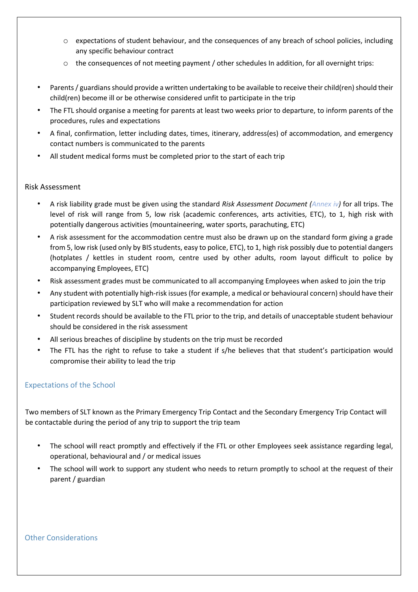- o expectations of student behaviour, and the consequences of any breach of school policies, including any specific behaviour contract
- $\circ$  the consequences of not meeting payment / other schedules In addition, for all overnight trips:
- Parents / guardians should provide a written undertaking to be available to receive their child(ren) should their child(ren) become ill or be otherwise considered unfit to participate in the trip
- The FTL should organise a meeting for parents at least two weeks prior to departure, to inform parents of the procedures, rules and expectations
- A final, confirmation, letter including dates, times, itinerary, address(es) of accommodation, and emergency contact numbers is communicated to the parents
- All student medical forms must be completed prior to the start of each trip

#### Risk Assessment

- A risk liability grade must be given using the standard *Risk Assessment Document (Annex iv)* for all trips. The level of risk will range from 5, low risk (academic conferences, arts activities, ETC), to 1, high risk with potentially dangerous activities (mountaineering, water sports, parachuting, ETC)
- A risk assessment for the accommodation centre must also be drawn up on the standard form giving a grade from 5, low risk (used only by BIS students, easy to police, ETC), to 1, high risk possibly due to potential dangers (hotplates / kettles in student room, centre used by other adults, room layout difficult to police by accompanying Employees, ETC)
- Risk assessment grades must be communicated to all accompanying Employees when asked to join the trip
- Any student with potentially high-risk issues (for example, a medical or behavioural concern) should have their participation reviewed by SLT who will make a recommendation for action
- Student records should be available to the FTL prior to the trip, and details of unacceptable student behaviour should be considered in the risk assessment
- All serious breaches of discipline by students on the trip must be recorded
- The FTL has the right to refuse to take a student if s/he believes that that student's participation would compromise their ability to lead the trip

#### Expectations of the School

Two members of SLT known as the Primary Emergency Trip Contact and the Secondary Emergency Trip Contact will be contactable during the period of any trip to support the trip team

- The school will react promptly and effectively if the FTL or other Employees seek assistance regarding legal, operational, behavioural and / or medical issues
- The school will work to support any student who needs to return promptly to school at the request of their parent / guardian

#### Other Considerations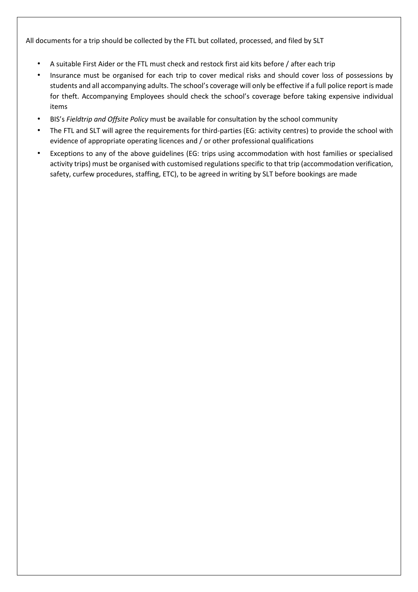All documents for a trip should be collected by the FTL but collated, processed, and filed by SLT

- A suitable First Aider or the FTL must check and restock first aid kits before / after each trip
- Insurance must be organised for each trip to cover medical risks and should cover loss of possessions by students and all accompanying adults. The school's coverage will only be effective if a full police report is made for theft. Accompanying Employees should check the school's coverage before taking expensive individual items
- BIS's *Fieldtrip and Offsite Policy* must be available for consultation by the school community
- The FTL and SLT will agree the requirements for third-parties (EG: activity centres) to provide the school with evidence of appropriate operating licences and / or other professional qualifications
- Exceptions to any of the above guidelines (EG: trips using accommodation with host families or specialised activity trips) must be organised with customised regulations specific to that trip (accommodation verification, safety, curfew procedures, staffing, ETC), to be agreed in writing by SLT before bookings are made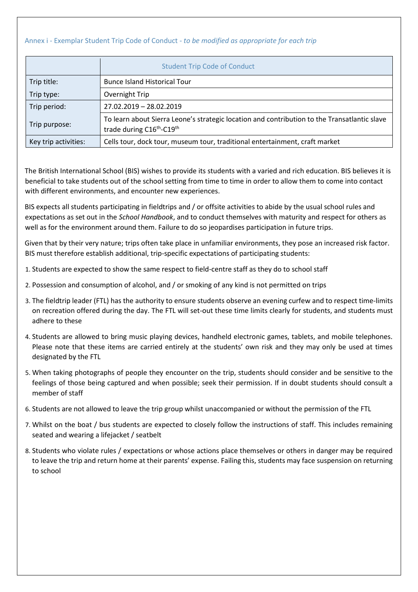#### Annex i - Exemplar Student Trip Code of Conduct - *to be modified as appropriate for each trip*

|                      | <b>Student Trip Code of Conduct</b>                                                                                                               |
|----------------------|---------------------------------------------------------------------------------------------------------------------------------------------------|
| Trip title:          | <b>Bunce Island Historical Tour</b>                                                                                                               |
| Trip type:           | Overnight Trip                                                                                                                                    |
| Trip period:         | 27.02.2019 - 28.02.2019                                                                                                                           |
| Trip purpose:        | To learn about Sierra Leone's strategic location and contribution to the Transatlantic slave<br>trade during C16 <sup>th</sup> -C19 <sup>th</sup> |
| Key trip activities: | Cells tour, dock tour, museum tour, traditional entertainment, craft market                                                                       |

The British International School (BIS) wishes to provide its students with a varied and rich education. BIS believes it is beneficial to take students out of the school setting from time to time in order to allow them to come into contact with different environments, and encounter new experiences.

BIS expects all students participating in fieldtrips and / or offsite activities to abide by the usual school rules and expectations as set out in the *School Handbook*, and to conduct themselves with maturity and respect for others as well as for the environment around them. Failure to do so jeopardises participation in future trips.

Given that by their very nature; trips often take place in unfamiliar environments, they pose an increased risk factor. BIS must therefore establish additional, trip-specific expectations of participating students:

- 1. Students are expected to show the same respect to field-centre staff as they do to school staff
- 2. Possession and consumption of alcohol, and / or smoking of any kind is not permitted on trips
- 3. The fieldtrip leader (FTL) has the authority to ensure students observe an evening curfew and to respect time-limits on recreation offered during the day. The FTL will set-out these time limits clearly for students, and students must adhere to these
- 4. Students are allowed to bring music playing devices, handheld electronic games, tablets, and mobile telephones. Please note that these items are carried entirely at the students' own risk and they may only be used at times designated by the FTL
- 5. When taking photographs of people they encounter on the trip, students should consider and be sensitive to the feelings of those being captured and when possible; seek their permission. If in doubt students should consult a member of staff
- 6. Students are not allowed to leave the trip group whilst unaccompanied or without the permission of the FTL
- 7. Whilst on the boat / bus students are expected to closely follow the instructions of staff. This includes remaining seated and wearing a lifejacket / seatbelt
- 8. Students who violate rules / expectations or whose actions place themselves or others in danger may be required to leave the trip and return home at their parents' expense. Failing this, students may face suspension on returning to school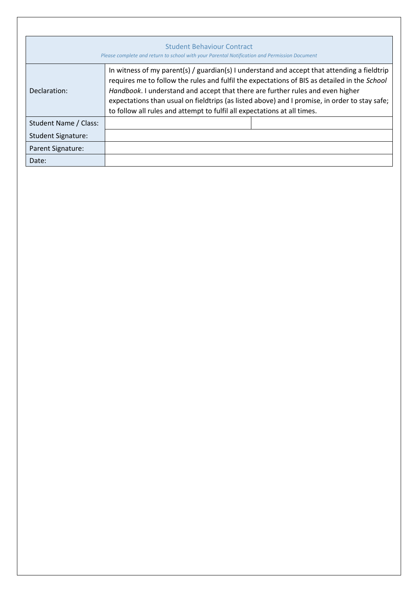| <b>Student Behaviour Contract</b><br>Please complete and return to school with your Parental Notification and Permission Document |                                                                                                                                                                                                                                                                                                                                                                                                                                                            |  |  |  |  |
|-----------------------------------------------------------------------------------------------------------------------------------|------------------------------------------------------------------------------------------------------------------------------------------------------------------------------------------------------------------------------------------------------------------------------------------------------------------------------------------------------------------------------------------------------------------------------------------------------------|--|--|--|--|
| Declaration:                                                                                                                      | In witness of my parent(s) / guardian(s) I understand and accept that attending a fieldtrip<br>requires me to follow the rules and fulfil the expectations of BIS as detailed in the School<br>Handbook. I understand and accept that there are further rules and even higher<br>expectations than usual on fieldtrips (as listed above) and I promise, in order to stay safe;<br>to follow all rules and attempt to fulfil all expectations at all times. |  |  |  |  |
| Student Name / Class:                                                                                                             |                                                                                                                                                                                                                                                                                                                                                                                                                                                            |  |  |  |  |
| <b>Student Signature:</b>                                                                                                         |                                                                                                                                                                                                                                                                                                                                                                                                                                                            |  |  |  |  |
| Parent Signature:                                                                                                                 |                                                                                                                                                                                                                                                                                                                                                                                                                                                            |  |  |  |  |
| Date:                                                                                                                             |                                                                                                                                                                                                                                                                                                                                                                                                                                                            |  |  |  |  |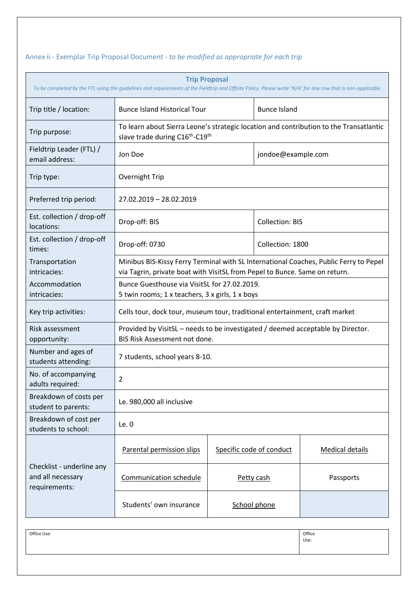## Annex ii - Exemplar Trip Proposal Document - *to be modified as appropriate for each trip*

| <b>Trip Proposal</b><br>To be completed by the FTL using the guidelines and requirements of the Fieldtrip and Offsite Policy. Please write 'N/A' for any row that is non-applicable |                                                                                                                                                                     |                                |                        |                        |  |  |
|-------------------------------------------------------------------------------------------------------------------------------------------------------------------------------------|---------------------------------------------------------------------------------------------------------------------------------------------------------------------|--------------------------------|------------------------|------------------------|--|--|
| Trip title / location:                                                                                                                                                              | <b>Bunce Island Historical Tour</b>                                                                                                                                 |                                | <b>Bunce Island</b>    |                        |  |  |
| Trip purpose:                                                                                                                                                                       | To learn about Sierra Leone's strategic location and contribution to the Transatlantic<br>slave trade during C16 <sup>th</sup> -C19 <sup>th</sup>                   |                                |                        |                        |  |  |
| Fieldtrip Leader (FTL) /<br>email address:                                                                                                                                          | Jon Doe                                                                                                                                                             |                                | jondoe@example.com     |                        |  |  |
| Trip type:                                                                                                                                                                          | <b>Overnight Trip</b>                                                                                                                                               |                                |                        |                        |  |  |
| Preferred trip period:                                                                                                                                                              | 27.02.2019 - 28.02.2019                                                                                                                                             |                                |                        |                        |  |  |
| Est. collection / drop-off<br>locations:                                                                                                                                            | Drop-off: BIS                                                                                                                                                       |                                | <b>Collection: BIS</b> |                        |  |  |
| Est. collection / drop-off<br>times:                                                                                                                                                | Drop-off: 0730                                                                                                                                                      |                                | Collection: 1800       |                        |  |  |
| Transportation<br>intricacies:                                                                                                                                                      | Minibus BIS-Kissy Ferry Terminal with SL International Coaches, Public Ferry to Pepel<br>via Tagrin, private boat with VisitSL from Pepel to Bunce. Same on return. |                                |                        |                        |  |  |
| Accommodation<br>intricacies:                                                                                                                                                       | Bunce Guesthouse via VisitSL for 27.02.2019.<br>5 twin rooms; 1 x teachers, 3 x girls, 1 x boys                                                                     |                                |                        |                        |  |  |
| Key trip activities:                                                                                                                                                                | Cells tour, dock tour, museum tour, traditional entertainment, craft market                                                                                         |                                |                        |                        |  |  |
| Risk assessment<br>opportunity:                                                                                                                                                     | Provided by VisitSL - needs to be investigated / deemed acceptable by Director.<br>BIS Risk Assessment not done.                                                    |                                |                        |                        |  |  |
| Number and ages of<br>students attending:                                                                                                                                           |                                                                                                                                                                     | 7 students, school years 8-10. |                        |                        |  |  |
| No. of accompanying<br>adults required:                                                                                                                                             | 2                                                                                                                                                                   |                                |                        |                        |  |  |
| Breakdown of costs per<br>student to parents:                                                                                                                                       | Le. 980,000 all inclusive                                                                                                                                           |                                |                        |                        |  |  |
| Breakdown of cost per<br>students to school:                                                                                                                                        | Le.0                                                                                                                                                                |                                |                        |                        |  |  |
|                                                                                                                                                                                     | Parental permission slips                                                                                                                                           | Specific code of conduct       |                        | <b>Medical details</b> |  |  |
| Checklist - underline any<br>and all necessary<br>requirements:                                                                                                                     | <b>Communication schedule</b>                                                                                                                                       | Petty cash                     |                        | Passports              |  |  |
|                                                                                                                                                                                     | Students' own insurance                                                                                                                                             | School phone                   |                        |                        |  |  |

| Office Use: | Office<br>Use: |
|-------------|----------------|
|             |                |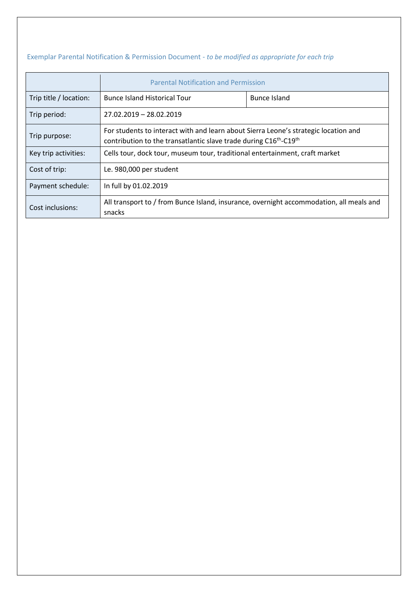## Exemplar Parental Notification & Permission Document - *to be modified as appropriate for each trip*

|                        | <b>Parental Notification and Permission</b>                                                                                                                                      |              |  |  |
|------------------------|----------------------------------------------------------------------------------------------------------------------------------------------------------------------------------|--------------|--|--|
| Trip title / location: | <b>Bunce Island Historical Tour</b>                                                                                                                                              | Bunce Island |  |  |
| Trip period:           | 27.02.2019 - 28.02.2019                                                                                                                                                          |              |  |  |
| Trip purpose:          | For students to interact with and learn about Sierra Leone's strategic location and<br>contribution to the transatlantic slave trade during C16 <sup>th</sup> -C19 <sup>th</sup> |              |  |  |
| Key trip activities:   | Cells tour, dock tour, museum tour, traditional entertainment, craft market                                                                                                      |              |  |  |
| Cost of trip:          | Le. 980,000 per student                                                                                                                                                          |              |  |  |
| Payment schedule:      | In full by 01.02.2019                                                                                                                                                            |              |  |  |
| Cost inclusions:       | All transport to / from Bunce Island, insurance, overnight accommodation, all meals and<br>snacks                                                                                |              |  |  |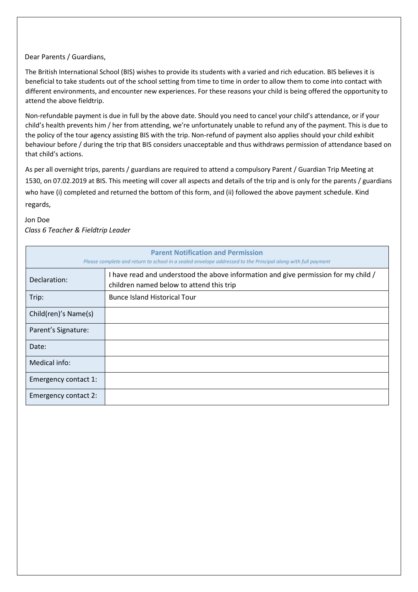#### Dear Parents / Guardians,

The British International School (BIS) wishes to provide its students with a varied and rich education. BIS believes it is beneficial to take students out of the school setting from time to time in order to allow them to come into contact with different environments, and encounter new experiences. For these reasons your child is being offered the opportunity to attend the above fieldtrip.

Non-refundable payment is due in full by the above date. Should you need to cancel your child's attendance, or if your child's health prevents him / her from attending, we're unfortunately unable to refund any of the payment. This is due to the policy of the tour agency assisting BIS with the trip. Non-refund of payment also applies should your child exhibit behaviour before / during the trip that BIS considers unacceptable and thus withdraws permission of attendance based on that child's actions.

As per all overnight trips, parents / guardians are required to attend a compulsory Parent / Guardian Trip Meeting at 1530, on 07.02.2019 at BIS. This meeting will cover all aspects and details of the trip and is only for the parents / guardians who have (i) completed and returned the bottom of this form, and (ii) followed the above payment schedule. Kind regards,

#### Jon Doe *Class 6 Teacher & Fieldtrip Leader*

| <b>Parent Notification and Permission</b><br>Please complete and return to school in a sealed envelope addressed to the Principal along with full payment |                                                                                                                                 |  |  |  |  |
|-----------------------------------------------------------------------------------------------------------------------------------------------------------|---------------------------------------------------------------------------------------------------------------------------------|--|--|--|--|
| Declaration:                                                                                                                                              | I have read and understood the above information and give permission for my child /<br>children named below to attend this trip |  |  |  |  |
| Trip:                                                                                                                                                     | <b>Bunce Island Historical Tour</b>                                                                                             |  |  |  |  |
| Child(ren)'s Name(s)                                                                                                                                      |                                                                                                                                 |  |  |  |  |
| Parent's Signature:                                                                                                                                       |                                                                                                                                 |  |  |  |  |
| Date:                                                                                                                                                     |                                                                                                                                 |  |  |  |  |
| Medical info:                                                                                                                                             |                                                                                                                                 |  |  |  |  |
| Emergency contact 1:                                                                                                                                      |                                                                                                                                 |  |  |  |  |
| Emergency contact 2:                                                                                                                                      |                                                                                                                                 |  |  |  |  |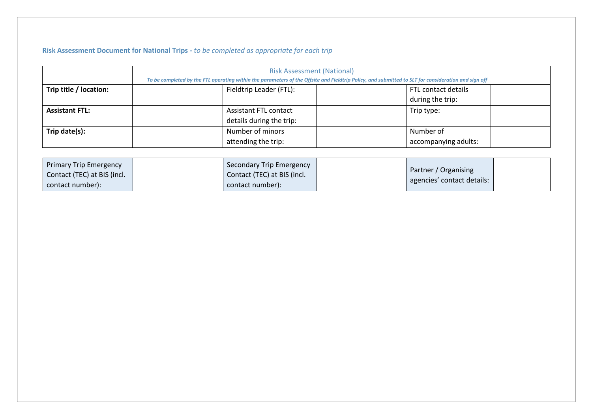## **Risk Assessment Document for National Trips -** *to be completed as appropriate for each trip*

|                        | <b>Risk Assessment (National)</b><br>To be completed by the FTL operating within the parameters of the Offsite and Fieldtrip Policy, and submitted to SLT for consideration and sign off |                          |  |                      |  |
|------------------------|------------------------------------------------------------------------------------------------------------------------------------------------------------------------------------------|--------------------------|--|----------------------|--|
| Trip title / location: | Fieldtrip Leader (FTL):<br>FTL contact details                                                                                                                                           |                          |  |                      |  |
|                        |                                                                                                                                                                                          |                          |  | during the trip:     |  |
| <b>Assistant FTL:</b>  |                                                                                                                                                                                          | Assistant FTL contact    |  | Trip type:           |  |
|                        |                                                                                                                                                                                          | details during the trip: |  |                      |  |
| Trip date(s):          |                                                                                                                                                                                          | Number of minors         |  | Number of            |  |
|                        |                                                                                                                                                                                          | attending the trip:      |  | accompanying adults: |  |

| <b>Primary Trip Emergency</b> | Secondary Trip Emergency    |                                                    |  |
|-------------------------------|-----------------------------|----------------------------------------------------|--|
| Contact (TEC) at BIS (incl.   | Contact (TEC) at BIS (incl. | Partner / Organising<br>agencies' contact details: |  |
| contact number):              | contact number):            |                                                    |  |